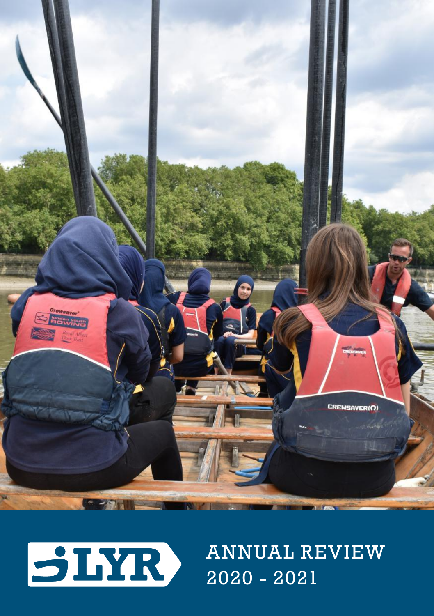



ANNUAL REVIEW 2020 - 2021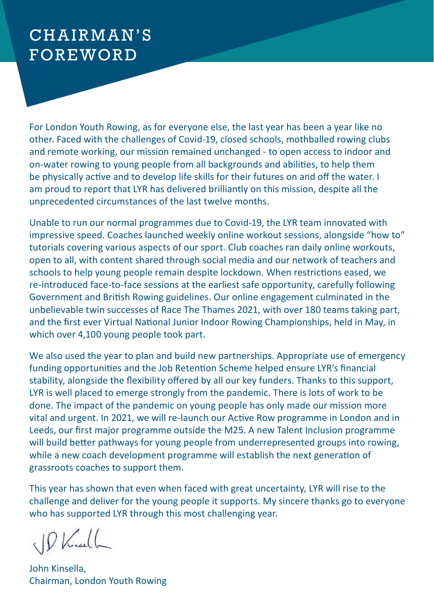# CHAIRMAN'S FOREWORD

For London Youth Rowing, as for everyone else, the last year has been a year like no other. Faced with the challenges of Covid-19, closed schools, mothballed rowing clubs and remote working, our mission remained unchanged - to open access to indoor and on-water rowing to young people from all backgrounds and abilities, to help them be physically active and to develop life skills for their futures on and off the water. I am proud to report that LYR has delivered brilliantly on this mission, despite all the unprecedented circumstances of the last twelve months.

Unable to run our normal programmes due to Covid-19, the LYR team innovated with impressive speed. Coaches launched weekly online workout sessions, alongside "how to" tutorials covering various aspects of our sport. Club coaches ran daily online workouts, open to all, with content shared through social media and our network of teachers and schools to help young people remain despite lockdown. When restrictions eased, we re-introduced face-to-face sessions at the earliest safe opportunity, carefully following Government and British Rowing guidelines. Our online engagement culminated in the unbelievable twin successes of Race The Thames 2021, with over 180 teams taking part, and the first ever Virtual National Junior Indoor Rowing Championships, held in May, in which over 4,100 young people took part.

We also used the year to plan and build new partnerships. Appropriate use of emergency funding opportunities and the Job Retention Scheme helped ensure LYR's financial stability, alongside the flexibility offered by all our key funders. Thanks to this support, LYR is well placed to emerge strongly from the pandemic. There is lots of work to be done. The impact of the pandemic on young people has only made our mission more vital and urgent. In 2021, we will re-launch our Active Row programme in London and in Leeds, our first major programme outside the M25. A new Talent Inclusion programme will build better pathways for young people from underrepresented groups into rowing, while a new coach development programme will establish the next generation of grassroots coaches to support them.

This year has shown that even when faced with great uncertainty, LYR will rise to the challenge and deliver for the young people it supports. My sincere thanks go to everyone who has supported LYR through this most challenging year.

Phill

John Kinsella, Chairman, London Youth Rowing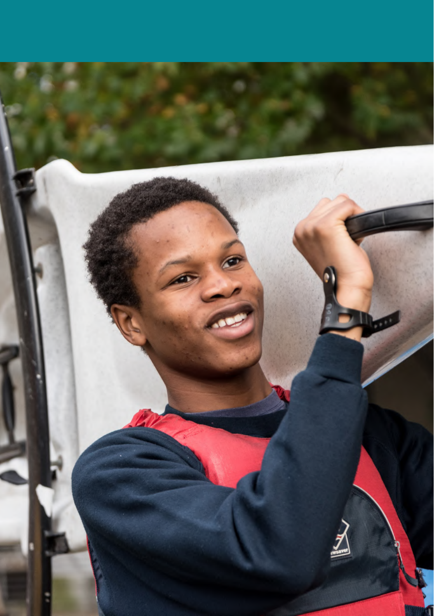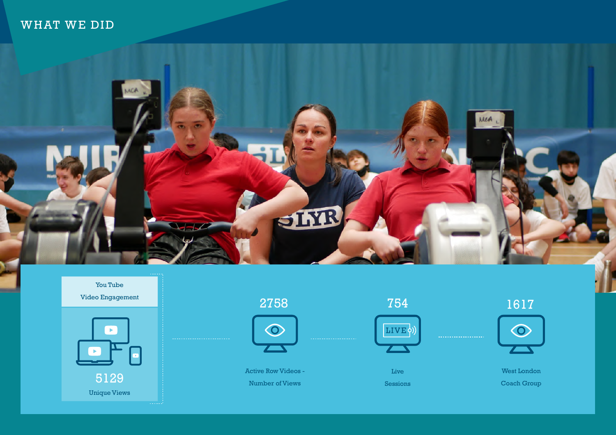# WHAT WE DID



You Tube Video Engagement



2758



Active Row Videos - Number of Views



Live Sessions

# 754 1617



West London Coach Group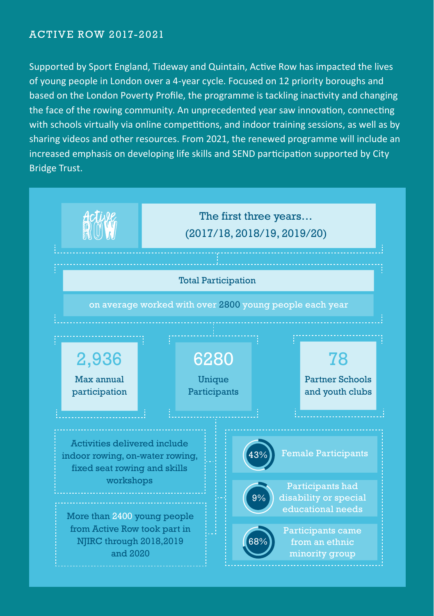#### ACTIVE ROW 2017-2021

Supported by Sport England, Tideway and Quintain, Active Row has impacted the lives of young people in London over a 4-year cycle. Focused on 12 priority boroughs and based on the London Poverty Profile, the programme is tackling inactivity and changing the face of the rowing community. An unprecedented year saw innovation, connecting with schools virtually via online competitions, and indoor training sessions, as well as by sharing videos and other resources. From 2021, the renewed programme will include an increased emphasis on developing life skills and SEND participation supported by City Bridge Trust.

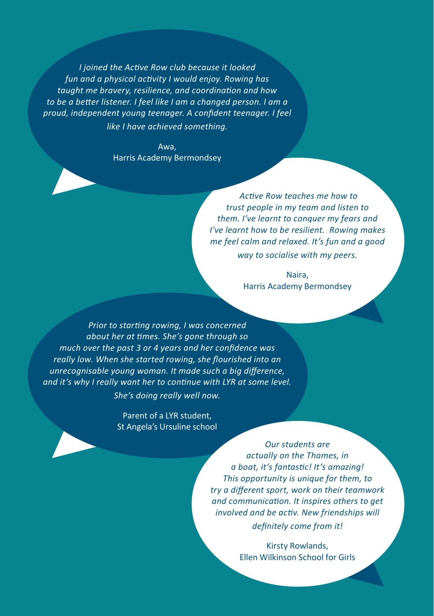*I joined the Active Row club because it looked fun and a physical activity I would enjoy. Rowing has taught me bravery, resilience, and coordination and how to be a better listener. I feel like I am a changed person. I am a proud, independent young teenager. A confident teenager. I feel like I have achieved something.*

> Awa, Harris Academy Bermondsey

> > *Active Row teaches me how to trust people in my team and listen to them. I've learnt to conquer my fears and I've learnt how to be resilient.  Rowing makes me feel calm and relaxed. It's fun and a good way to socialise with my peers.*

> > > Naira, Harris Academy Bermondsey

*Prior to starting rowing, I was concerned about her at times. She's gone through so much over the past 3 or 4 years and her confidence was really low. When she started rowing, she flourished into an unrecognisable young woman. It made such a big difference, and it's why I really want her to continue with LYR at some level.* 

*She's doing really well now.*

Parent of a LYR student, St Angela's Ursuline school

> *Our students are actually on the Thames, in a boat, it's fantastic! It's amazing! This opportunity is unique for them, to try a different sport, work on their teamwork and communication. It inspires others to get involved and be activ. New friendships will definitely come from it!*

> > Kirsty Rowlands, Ellen Wilkinson School for Girls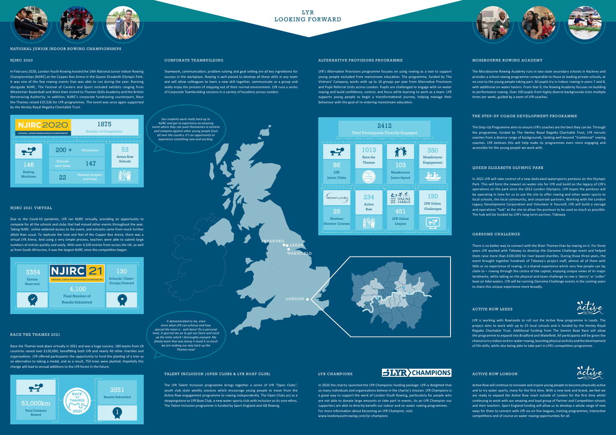





#### NJIRC 2021 VIRTUAL



The Step-Up Programme aims to ensure LYR's coaches are the best they can be. Through the programme, funded by The Henley Royal Regatta Charitable Trust, LYR recruits coaches from a diverse range of backgrounds, looking well beyond "traditional" rowing coaches. LYR believes this will help make its programmes even more engaging and accessible for the young people we work with.

#### THE STEP-UP COACH DEVELOPMENT PROGRAMME

In February 2020, London Youth Rowing hosted the 14th National Junior Indoor Rowing Championships (NJIRC) at the Copper Box Arena in the Queen Elizabeth Olympic Park. It was one of the few rowing events that was able to run during the year. Running alongside NJIRC, The Festival of Careers and Sport included exhibits ranging from Wheelchair Basketball and West Ham United to Thames Skills Academy and the British Horseracing Authority. In addition, NJIRC's corporate fundraising counterpart, Race the Thames raised £37,526 for LYR programmes. The event was once again supported by the Henley Royal Regatta Charitable Trust.

### NATIONAL JUNIOR INDOOR ROWING CHAMPIONSHIPS

Due to the Covid-19 pandemic, LYR ran NJIRC virtually, providing an opportunity to compete for all the schools and clubs that had missed other events throughout the year. Taking NJIRC online widened access to the event, and entrants came from much further afield than usual. To replicate the look and feel of the Copper Box Arena, there was a virtual LYR Arena. And using a very simple process, teachers were able to submit large numbers of entries quickly and easily. With over 4,100 entries from across the UK, as well as from South Africa too, it was the largest NJIRC since the competition began.

Teamwork, communication, problem solving and goal setting are all key ingredients for success in the workplace. Rowing is well placed to develop all these skills in any team and will allow colleagues to learn a new skill together, communicate as a group and really enjoy the process of stepping out of their normal environment. LYR runs a series of Corporate Teambuilding sessions in a variety of locations across London.

#### CORPORATE TEAMBUILDING

In 2020 the charity launched the LYR Champions funding package. LYR is delighted that so many individuals and organisations believe in the charity's mission. LYR Champions is a great way to support the work of London Youth Rowing, particularly for people who are not able to donate large amounts or take part in events. As an LYR Champion our supporters are able to directly benefit our indoor and on-water rowing programmes. For more information about becoming an LYR Champion, visit:



www.londonyouthrowing.com/lyr-champions

## LYR CHAMPIONS

LYR is working with RowLeeds to roll out the Active Row programme in Leeds. The project aims to work with up to 25 local schools and is funded by the Henley Royal Regatta Charitable Trust. Additional funding from The Gemini Boat Race will allow the programme to expand into Bradford and Wakefield. All participants will be given the chance to try indoor and on-waterrowing, boosting physical activity and the development of life skills, while also being able to take part in LYR's competition programme.

*Thames now!*

ACTIVE ROW LEEDS

Active Row will continue to innovate and inspire young people to become physically active and to try water sports, many for the first time. With a new look and brand, we feel we are ready to expand the Active Row reach outside of London for the first time whilst continuing to work with our amazing and loyal group of Partner and Competition schools and their teachers. Sport England funding will allow us to develop a whole range of new ways for them to connect with LYR via on-line leagues, training programmes, interactive competitions and of course on water rowing opportunities for all.

#### ACTIVE ROW LONDON



# **SLYR** CHAMPIONS

There is no better way to connect with the River Thames than by rowing on it. For three years LYR worked with Tideway to develop the Oarsome Challenge event and helped them raise more than £100,000 for river-based charities. During those three years, the event brought together hundreds of Tideway's project staff, almost all of them with little or no experience of rowing, in a shared experience which very few people can lay claim to – rowing through the centre of the capital, enjoying unique views of its major landmarks, while taking on the physical and team challenge to row a 'skerry' or 'cutter' boat on tidal waters. LYR will be running Oarsome Challenge events in the coming years to share this unique experience more broadly.

#### OARSOME CHALLENGE

The LYR Talent Inclusion programme brings together a series of LYR "Open Clubs", youth club style weekly sessions which encourage young people to move from the Active Row engagement programme to rowing independently. The Open Clubs act as a steppingstone to LYR Boat Club, a new water sports club with inclusion as its core ethos. The Talent Inclusion programme is funded by Sport England and GB Rowing.

#### TALENT INCLUSION (OPEN CLUBS & LYR BOAT CLUB)

Race the Thames took place virtually in 2021 and was a huge success. 180 teams from 19 countries raised over £120,000, benefitting both LYR and nearly 40 other charities and organisations. LYR offered participants the opportunity to fund the planting of a tree as an alternative to taking a medal, and as a result, 750 trees were planted. Hopefully this change will lead to annual additions to the LYR forest in the future.



In 2021 LYR will take control of a new dedicated watersports pontoon on the Olympic Park. This will form the newest on-water site for LYR and build on the legacy of LYR's operations on the park since the 2012 London Olympics. LYR hopes the pontoon will be operating in time for us to use the site to offer rowing and other water sports to local schools, the local community, and corporate partners. Working with the London Legacy Development Corporation and Volunteer It Yourself, LYR will build a storage and operations "hub" at the site to allow the pontoon to be used as much as possible. The hub will be funded by LYR's long-term partner, Tideway.

#### RACE THE THAMES 2021

#### QUEEN ELIZABETH OLYMPIC PARK

The Mossbourne Rowing Academy runs in two state secondary schools in Hackney and provides a school rowing programme comparable to those at leading private schools, at no cost to the young people taking part. All pupils try in indoor rowing in years 7 and 8, with additional on-water tasters. From Year 9, the Rowing Academy focuses on building to performance rowing. Over 100 pupils from highly diverse backgrounds train multiple times per week, guided by a team of LYR coaches.

#### MOSSBOURNE ROWING ACADEMY

LYR's Alternative Provisions programme focuses on using rowing as a tool to support young people excluded from mainstream education. The programme, funded by The Vintners' Company, works with up to 10 groups per year from Alternative Provisions and Pupil Referral Units across London. Pupils are challenged to engage with on-water rowing and build confidence, control, and focus while learning to work as a team. LYR supports young people to begin a transformational journey, helping manage their behaviour with the goal of re-entering mainstream education.

#### NJIRC 2020 ALTERNATIVE PROVISIONS PROGRAMME